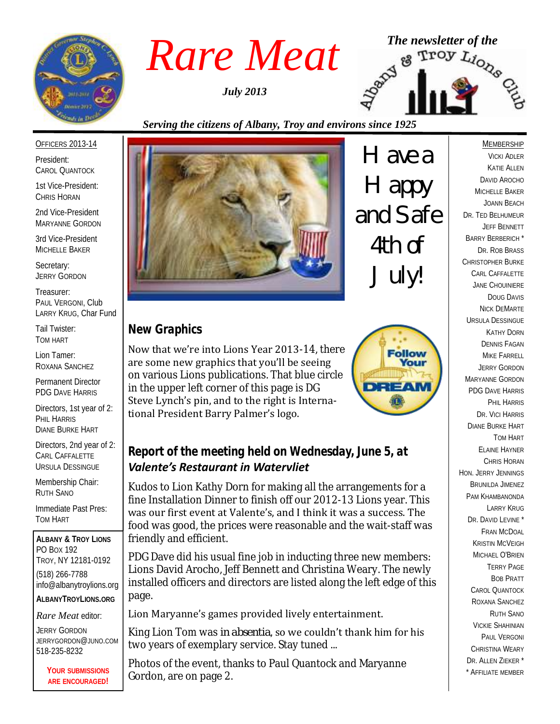

*July 2013*



#### *Serving the citizens of Albany, Troy and environs since 1925*

#### OFFICERS 2013-14

President: CAROL QUANTOCK

1st Vice-President: CHRIS HORAN

2nd Vice-President MARYANNE GORDON

3rd Vice-President MICHELLE BAKER

Secretary: JERRY GORDON

Treasurer: PAUL VERGONI, Club LARRY KRUG, Char Fund

Tail Twister: TOM HART

Lion Tamer: ROXANA SANCHEZ

Permanent Director PDG DAVE HARRIS

Directors, 1st year of 2: PHIL HARRIS DIANE BURKE HART

Directors, 2nd year of 2: CARL CAFFALETTE URSULA DESSINGUE

Membership Chair: RUTH SANO

Immediate Past Pres: TOM HART

**ALBANY & TROY LIONS** PO BOX 192 TROY, NY 12181-0192 (518) 266-7788 info@albanytroylions.org **ALBANYTROYLIONS.ORG**

*Rare Meat* editor:

JERRY GORDON JERRYGORDON@JUNO.COM 518-235-8232

> **YOUR SUBMISSIONS ARE ENCOURAGED!**



*Have a Happy and Safe 4th of July!*

# *New Graphics*

Now that we're into Lions Year 2013-14, there are some new graphics that you'll be seeing on various Lions publications. That blue circle in the upper left corner of this page is DG Steve Lynch's pin, and to the right is International President Barry Palmer's logo.



# *Report of the meeting held on Wednesday, June 5, at Valente's Restaurant in Watervliet*

Kudos to Lion Kathy Dorn for making all the arrangements for a fine Installation Dinner to finish off our 2012-13 Lions year. This was our first event at Valente's, and I think it was a success. The food was good, the prices were reasonable and the wait-staff was friendly and efficient.

PDG Dave did his usual fine job in inducting three new members: Lions David Arocho, Jeff Bennett and Christina Weary. The newly installed officers and directors are listed along the left edge of this page.

#### Lion Maryanne's games provided lively entertainment.

King Lion Tom was *in absentia*, so we couldn't thank him for his two years of exemplary service. Stay tuned ...

Photos of the event, thanks to Paul Quantock and Maryanne Gordon, are on page 2.

**MEMBERSHIP** VICKI ADLER KATIE ALLEN DAVID AROCHO MICHELLE BAKER JOANN BEACH DR. TED BELHUMEUR JEFF BENNETT BARRY BERBERICH \* DR. ROB BRASS CHRISTOPHER BURKE CARL CAFFALETTE JANE CHOUINIERE DOUG DAVIS NICK DEMARTE URSULA DESSINGUE KATHY DORN DENNIS FAGAN MIKE FARRELL JERRY GORDON MARYANNE GORDON PDG DAVE HARRIS PHIL HARRIS DR. VICI HARRIS DIANE BURKE HART TOM HART ELAINE HAYNER CHRIS HORAN HON. JERRY JENNINGS BRUNILDA JIMENEZ PAM KHAMBANONDA LARRY KRUG DR. DAVID LEVINE \* FRAN MCDOAL KRISTIN MCVEIGH MICHAEL O'BRIEN TERRY PAGE BOB PRATT CAROL QUANTOCK ROXANA SANCHEZ RUTH SANO VICKIE SHAHINIAN PAUL VERGONI CHRISTINA WEARY DR. ALLEN ZIEKER \* \* AFFILIATE MEMBER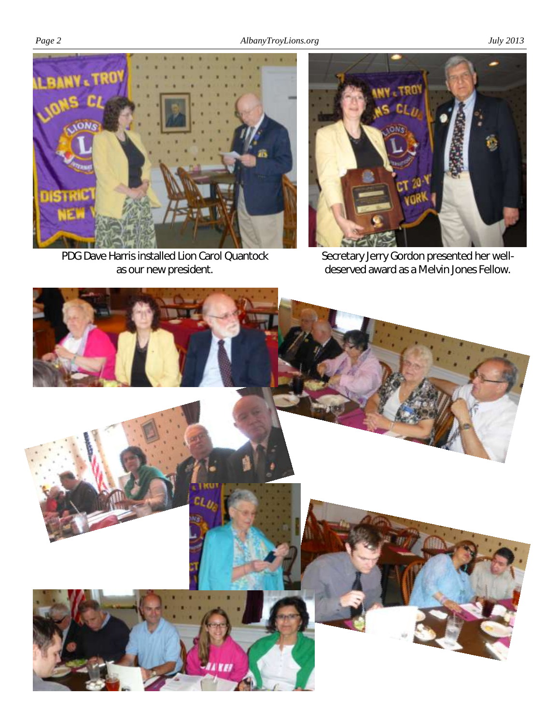*Page 2 AlbanyTroyLions.org July 2013*



PDG Dave Harris installed Lion Carol Quantock as our new president.



Secretary Jerry Gordon presented her welldeserved award as a Melvin Jones Fellow.

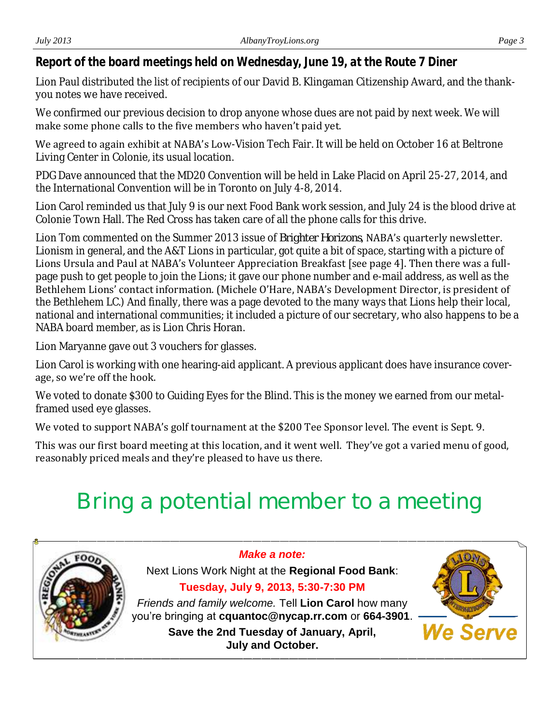Lion Paul distributed the list of recipients of our David B. Klingaman Citizenship Award, and the thankyou notes we have received.

We confirmed our previous decision to drop anyone whose dues are not paid by next week. We will make some phone calls to the five members who haven't paid yet.

We agreed to again exhibit at NABA's Low-Vision Tech Fair. It will be held on October 16 at Beltrone Living Center in Colonie, its usual location.

PDG Dave announced that the MD20 Convention will be held in Lake Placid on April 25-27, 2014, and the International Convention will be in Toronto on July 4-8, 2014.

Lion Carol reminded us that July 9 is our next Food Bank work session, and July 24 is the blood drive at Colonie Town Hall. The Red Cross has taken care of all the phone calls for this drive.

Lion Tom commented on the Summer 2013 issue of *Brighter Horizons*, NABA's quarterly newsletter. Lionism in general, and the A&T Lions in particular, got quite a bit of space, starting with a picture of Lions Ursula and Paul at NABA's Volunteer Appreciation Breakfast [see page 4]. Then there was a fullpage push to get people to join the Lions; it gave our phone number and e-mail address, as well as the Bethlehem Lions' contact information. (Michele O'Hare, NABA's Development Director, is president of the Bethlehem LC.) And finally, there was a page devoted to the many ways that Lions help their local, national and international communities; it included a picture of our secretary, who also happens to be a NABA board member, as is Lion Chris Horan.

Lion Maryanne gave out 3 vouchers for glasses.

Lion Carol is working with one hearing-aid applicant. A previous applicant does have insurance coverage, so we're off the hook.

We voted to donate \$300 to Guiding Eyes for the Blind. This is the money we earned from our metalframed used eye glasses.

We voted to support NABA's golf tournament at the \$200 Tee Sponsor level. The event is Sept. 9.

This was our first board meeting at this location, and it went well. They've got a varied menu of good, reasonably priced meals and they're pleased to have us there.

# **Bring a potential member to a meeting**



*Make a note:* Next Lions Work Night at the **Regional Food Bank**: **Tuesday, July 9, 2013, 5:30-7:30 PM**

*Friends and family welcome.* Tell **Lion Carol** how many you're bringing at **cquantoc@nycap.rr.com** or **664-3901**. **Save the 2nd Tuesday of January, April,** 

**July and October.**

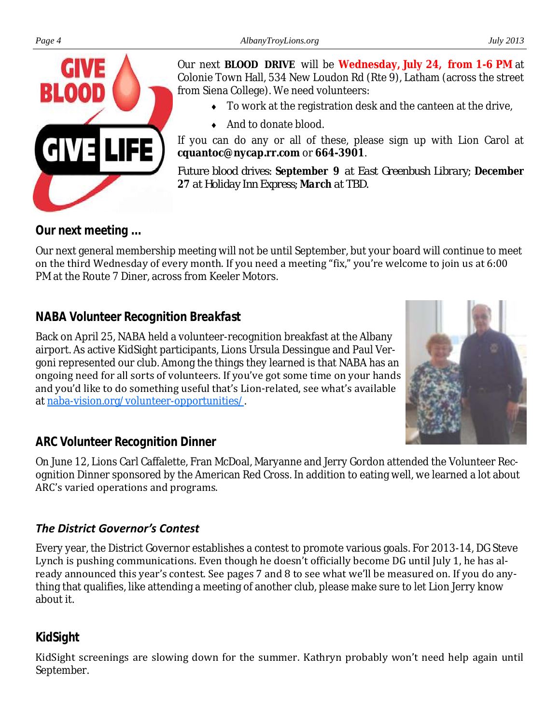

Our next **BLOOD DRIVE** will be **Wednesday, July 24, from 1-6 PM** at Colonie Town Hall, 534 New Loudon Rd (Rte 9), Latham (across the street from Siena College). We need volunteers:

- To work at the registration desk and the canteen at the drive,
- ◆ And to donate blood.

If you can do any or all of these, please sign up with Lion Carol at **cquantoc@nycap.rr.com** or **664-3901**.

*Future blood drives: September 9 at East Greenbush Library; December 27 at Holiday Inn Express; March at TBD.*

# *Our next meeting ...*

Our next general membership meeting will not be until September, but your board will continue to meet on the third Wednesday of every month. If you need a meeting "fix," you're welcome to join us at 6:00 PM at the Route 7 Diner, across from Keeler Motors.

# *NABA Volunteer Recognition Breakfast*

Back on April 25, NABA held a volunteer-recognition breakfast at the Albany airport. As active KidSight participants, Lions Ursula Dessingue and Paul Vergoni represented our club. Among the things they learned is that NABA has an ongoing need for all sorts of volunteers. If you've got some time on your hands and you'd like to do something useful that's Lion-related, see what's available at [naba-vision.org/volunteer-opportunities/.](http://naba-vision.org/volunteer-opportunities/)



# *ARC Volunteer Recognition Dinner*

On June 12, Lions Carl Caffalette, Fran McDoal, Maryanne and Jerry Gordon attended the Volunteer Recognition Dinner sponsored by the American Red Cross. In addition to eating well, we learned a lot about ARC's varied operations and programs.

# *The District Governor's Contest*

Every year, the District Governor establishes a contest to promote various goals. For 2013-14, DG Steve Lynch is pushing communications. Even though he doesn't officially become DG until July 1, he has already announced this year's contest. See pages 7 and 8 to see what we'll be measured on. If you do anything that qualifies, like attending a meeting of another club, please make sure to let Lion Jerry know about it.

# *KidSight*

KidSight screenings are slowing down for the summer. Kathryn probably won't need help again until September.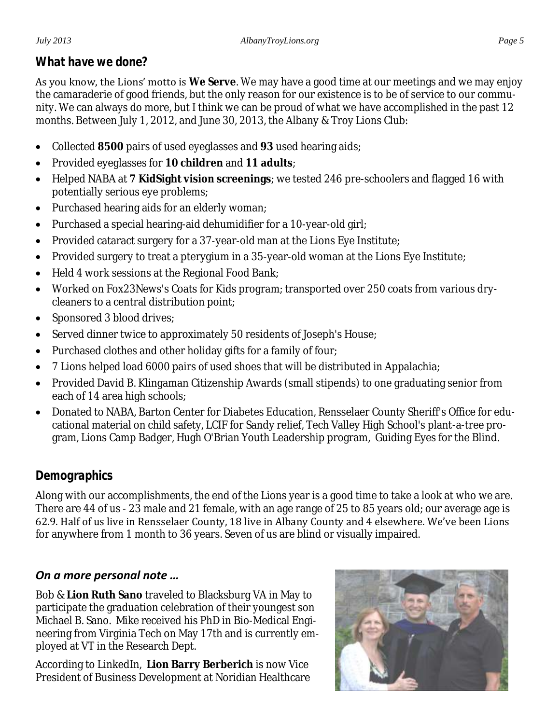### *What have we done?*

As you know, the Lions' motto is **We Serve**. We may have a good time at our meetings and we may enjoy the camaraderie of good friends, but the only reason for our existence is to be of service to our community. We can always do more, but I think we can be proud of what we have accomplished in the past 12 months. Between July 1, 2012, and June 30, 2013, the Albany & Troy Lions Club:

- Collected **8500** pairs of used eyeglasses and **93** used hearing aids;
- Provided eyeglasses for **10 children** and **11 adults**;
- Helped NABA at **7 KidSight vision screenings**; we tested 246 pre-schoolers and flagged 16 with potentially serious eye problems;
- Purchased hearing aids for an elderly woman;
- Purchased a special hearing-aid dehumidifier for a 10-year-old girl;
- Provided cataract surgery for a 37-year-old man at the Lions Eye Institute;
- Provided surgery to treat a pterygium in a 35-year-old woman at the Lions Eye Institute;
- Held 4 work sessions at the Regional Food Bank;
- Worked on Fox23News's Coats for Kids program; transported over 250 coats from various drycleaners to a central distribution point;
- Sponsored 3 blood drives;
- Served dinner twice to approximately 50 residents of Joseph's House;
- Purchased clothes and other holiday gifts for a family of four;
- 7 Lions helped load 6000 pairs of used shoes that will be distributed in Appalachia;
- Provided David B. Klingaman Citizenship Awards (small stipends) to one graduating senior from each of 14 area high schools;
- Donated to NABA, Barton Center for Diabetes Education, Rensselaer County Sheriff's Office for educational material on child safety, LCIF for Sandy relief, Tech Valley High School's plant-a-tree program, Lions Camp Badger, Hugh O'Brian Youth Leadership program, Guiding Eyes for the Blind.

# *Demographics*

Along with our accomplishments, the end of the Lions year is a good time to take a look at who we are. There are 44 of us - 23 male and 21 female, with an age range of 25 to 85 years old; our average age is 62.9. Half of us live in Rensselaer County, 18 live in Albany County and 4 elsewhere. We've been Lions for anywhere from 1 month to 36 years. Seven of us are blind or visually impaired.

# *On a more personal note …*

Bob & **Lion Ruth Sano** traveled to Blacksburg VA in May to participate the graduation celebration of their youngest son Michael B. Sano. Mike received his PhD in Bio-Medical Engineering from Virginia Tech on May 17th and is currently employed at VT in the Research Dept.

According to LinkedIn, **Lion Barry Berberich** is now Vice President of Business Development at Noridian Healthcare

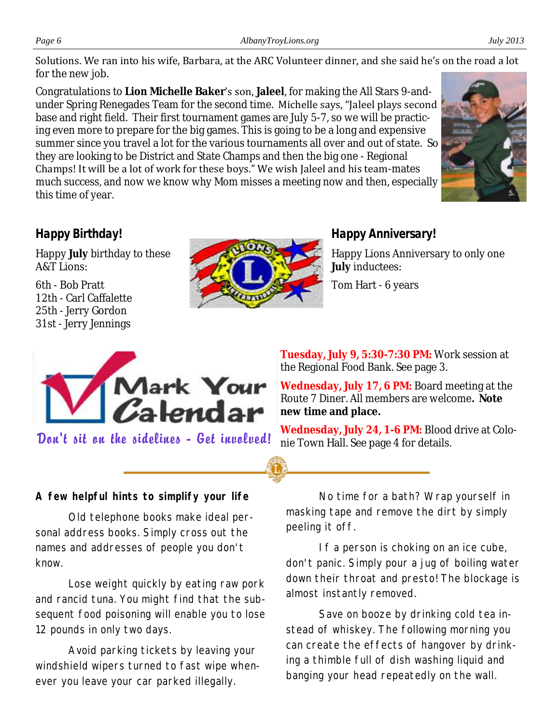Solutions. We ran into his wife, Barbara, at the ARC Volunteer dinner, and she said he's on the road a lot for the new job.

Congratulations to **Lion Michelle Baker**'s son, **Jaleel**, for making the All Stars 9-andunder Spring Renegades Team for the second time. Michelle says, "Jaleel plays second base and right field. Their first tournament games are July 5-7, so we will be practicing even more to prepare for the big games. This is going to be a long and expensive summer since you travel a lot for the various tournaments all over and out of state. So they are looking to be District and State Champs and then the big one - Regional Champs! It will be a lot of work for these boys." We wish Jaleel and his team-mates much success, and now we know why Mom misses a meeting now and then, especially this time of year.



# *Happy Birthday!*

Happy **July** birthday to these A&T Lions:

6th - Bob Pratt 12th - Carl Caffalette 25th - Jerry Gordon 31st - Jerry Jennings



# *Happy Anniversary!*

Happy Lions Anniversary to only one **July** inductees:

Tom Hart - 6 years



**Tuesday, July 9, 5:30-7:30 PM:** Work session at the Regional Food Bank. See page 3.

**Wednesday, July 17, 6 PM:** Board meeting at the Route 7 Diner. All members are welcome**. Note new time and place.**

**Don't sit on the sidelines - Get involved!** Wednesday, July 24, 1-6 PM: Blood drive at Colo-<br>nie Town Hall. See page 4 for details.

**A few helpful hints to simplify your life**

Old telephone books make ideal personal address books. Simply cross out the names and addresses of people you don't know.

Lose weight quickly by eating raw pork and rancid tuna. You might find that the subsequent food poisoning will enable you to lose 12 pounds in only two days.

Avoid parking tickets by leaving your windshield wipers turned to fast wipe whenever you leave your car parked illegally.

No time for a bath? Wrap yourself in masking tape and remove the dirt by simply peeling it off.

If a person is choking on an ice cube, don't panic. Simply pour a jug of boiling water down their throat and presto! The blockage is almost instantly removed.

Save on booze by drinking cold tea instead of whiskey. The following morning you can create the effects of hangover by drinking a thimble full of dish washing liquid and banging your head repeatedly on the wall.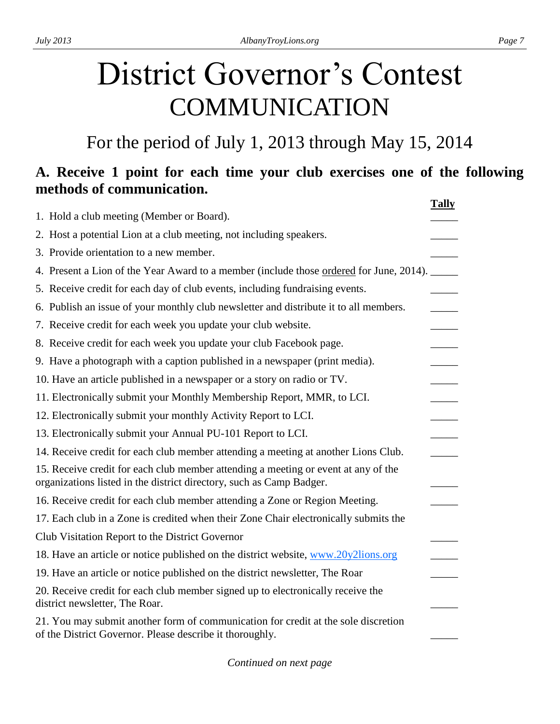# District Governor's Contest COMMUNICATION

For the period of July 1, 2013 through May 15, 2014

# **A. Receive 1 point for each time your club exercises one of the following methods of communication.**

|                                                                                                                                                            | <b>Tally</b> |
|------------------------------------------------------------------------------------------------------------------------------------------------------------|--------------|
| 1. Hold a club meeting (Member or Board).                                                                                                                  |              |
| 2. Host a potential Lion at a club meeting, not including speakers.                                                                                        |              |
| 3. Provide orientation to a new member.                                                                                                                    |              |
| 4. Present a Lion of the Year Award to a member (include those <u>ordered</u> for June, 2014).                                                             |              |
| 5. Receive credit for each day of club events, including fundraising events.                                                                               |              |
| 6. Publish an issue of your monthly club newsletter and distribute it to all members.                                                                      |              |
| 7. Receive credit for each week you update your club website.                                                                                              |              |
| 8. Receive credit for each week you update your club Facebook page.                                                                                        |              |
| 9. Have a photograph with a caption published in a newspaper (print media).                                                                                |              |
| 10. Have an article published in a newspaper or a story on radio or TV.                                                                                    |              |
| 11. Electronically submit your Monthly Membership Report, MMR, to LCI.                                                                                     |              |
| 12. Electronically submit your monthly Activity Report to LCI.                                                                                             |              |
| 13. Electronically submit your Annual PU-101 Report to LCI.                                                                                                |              |
| 14. Receive credit for each club member attending a meeting at another Lions Club.                                                                         |              |
| 15. Receive credit for each club member attending a meeting or event at any of the<br>organizations listed in the district directory, such as Camp Badger. |              |
| 16. Receive credit for each club member attending a Zone or Region Meeting.                                                                                |              |
| 17. Each club in a Zone is credited when their Zone Chair electronically submits the                                                                       |              |
| Club Visitation Report to the District Governor                                                                                                            |              |
| 18. Have an article or notice published on the district website, www.20y2lions.org                                                                         |              |
| 19. Have an article or notice published on the district newsletter, The Roar                                                                               |              |
| 20. Receive credit for each club member signed up to electronically receive the<br>district newsletter, The Roar.                                          |              |
| 21. You may submit another form of communication for credit at the sole discretion<br>of the District Governor. Please describe it thoroughly.             |              |
|                                                                                                                                                            |              |

*Continued on next page*